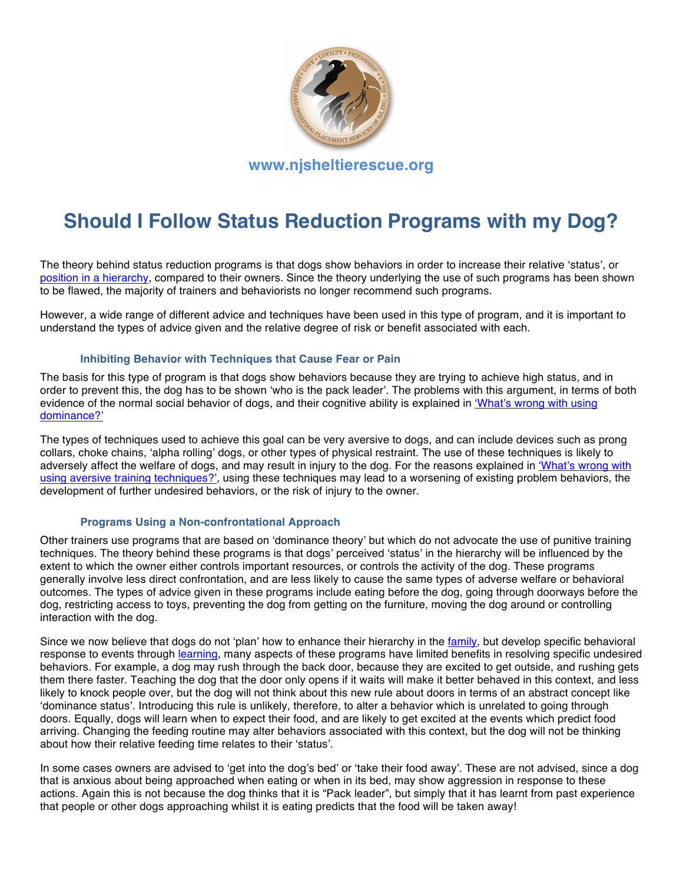

# **Should I Follow Status Reduction Programs with my Dog?**

The theory behind status reduction programs is that dogs show behaviors in order to increase their relative ʻstatus', or position in a hierarchy, compared to their owners. Since the theory underlying the use of such programs has been shown to be flawed, the majority of trainers and behaviorists no longer recommend such programs.

However, a wide range of different advice and techniques have been used in this type of program, and it is important to understand the types of advice given and the relative degree of risk or benefit associated with each.

### **Inhibiting Behavior with Techniques that Cause Fear or Pain**

The basis for this type of program is that dogs show behaviors because they are trying to achieve high status, and in order to prevent this, the dog has to be shown ʻwho is the pack leader'. The problems with this argument, in terms of both evidence of the normal social behavior of dogs, and their cognitive ability is explained in ʻWhat's wrong with using dominance?'

The types of techniques used to achieve this goal can be very aversive to dogs, and can include devices such as prong collars, choke chains, ʻalpha rolling' dogs, or other types of physical restraint. The use of these techniques is likely to adversely affect the welfare of dogs, and may result in injury to the dog. For the reasons explained in ʻWhat's wrong with using aversive training techniques?', using these techniques may lead to a worsening of existing problem behaviors, the development of further undesired behaviors, or the risk of injury to the owner.

## **Programs Using a Non-confrontational Approach**

Other trainers use programs that are based on ʻdominance theory' but which do not advocate the use of punitive training techniques. The theory behind these programs is that dogs' perceived ʻstatus' in the hierarchy will be influenced by the extent to which the owner either controls important resources, or controls the activity of the dog. These programs generally involve less direct confrontation, and are less likely to cause the same types of adverse welfare or behavioral outcomes. The types of advice given in these programs include eating before the dog, going through doorways before the dog, restricting access to toys, preventing the dog from getting on the furniture, moving the dog around or controlling interaction with the dog.

Since we now believe that dogs do not 'plan' how to enhance their hierarchy in the family, but develop specific behavioral response to events through learning, many aspects of these programs have limited benefits in resolving specific undesired behaviors. For example, a dog may rush through the back door, because they are excited to get outside, and rushing gets them there faster. Teaching the dog that the door only opens if it waits will make it better behaved in this context, and less likely to knock people over, but the dog will not think about this new rule about doors in terms of an abstract concept like ʻdominance status'. Introducing this rule is unlikely, therefore, to alter a behavior which is unrelated to going through doors. Equally, dogs will learn when to expect their food, and are likely to get excited at the events which predict food arriving. Changing the feeding routine may alter behaviors associated with this context, but the dog will not be thinking about how their relative feeding time relates to their ʻstatus'.

In some cases owners are advised to ʻget into the dog's bed' or ʻtake their food away'. These are not advised, since a dog that is anxious about being approached when eating or when in its bed, may show aggression in response to these actions. Again this is not because the dog thinks that it is "Pack leader", but simply that it has learnt from past experience that people or other dogs approaching whilst it is eating predicts that the food will be taken away!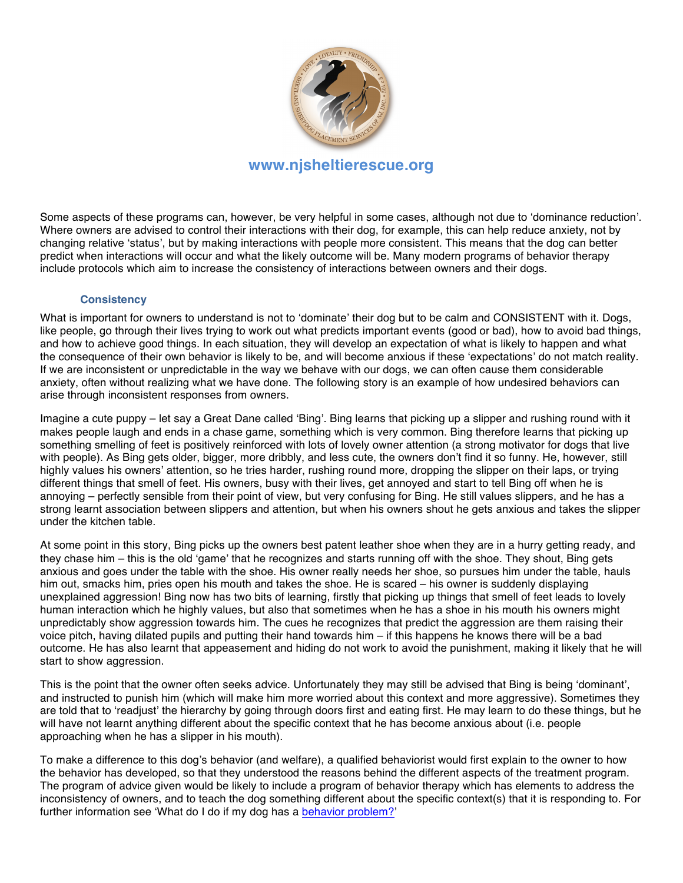

# **www.njsheltierescue.org**

Some aspects of these programs can, however, be very helpful in some cases, although not due to ʻdominance reduction'. Where owners are advised to control their interactions with their dog, for example, this can help reduce anxiety, not by changing relative ʻstatus', but by making interactions with people more consistent. This means that the dog can better predict when interactions will occur and what the likely outcome will be. Many modern programs of behavior therapy include protocols which aim to increase the consistency of interactions between owners and their dogs.

### **Consistency**

What is important for owners to understand is not to ʻdominate' their dog but to be calm and CONSISTENT with it. Dogs, like people, go through their lives trying to work out what predicts important events (good or bad), how to avoid bad things, and how to achieve good things. In each situation, they will develop an expectation of what is likely to happen and what the consequence of their own behavior is likely to be, and will become anxious if these ʻexpectations' do not match reality. If we are inconsistent or unpredictable in the way we behave with our dogs, we can often cause them considerable anxiety, often without realizing what we have done. The following story is an example of how undesired behaviors can arise through inconsistent responses from owners.

Imagine a cute puppy – let say a Great Dane called ʻBing'. Bing learns that picking up a slipper and rushing round with it makes people laugh and ends in a chase game, something which is very common. Bing therefore learns that picking up something smelling of feet is positively reinforced with lots of lovely owner attention (a strong motivator for dogs that live with people). As Bing gets older, bigger, more dribbly, and less cute, the owners don't find it so funny. He, however, still highly values his owners' attention, so he tries harder, rushing round more, dropping the slipper on their laps, or trying different things that smell of feet. His owners, busy with their lives, get annoyed and start to tell Bing off when he is annoying – perfectly sensible from their point of view, but very confusing for Bing. He still values slippers, and he has a strong learnt association between slippers and attention, but when his owners shout he gets anxious and takes the slipper under the kitchen table.

At some point in this story, Bing picks up the owners best patent leather shoe when they are in a hurry getting ready, and they chase him – this is the old ʻgame' that he recognizes and starts running off with the shoe. They shout, Bing gets anxious and goes under the table with the shoe. His owner really needs her shoe, so pursues him under the table, hauls him out, smacks him, pries open his mouth and takes the shoe. He is scared – his owner is suddenly displaying unexplained aggression! Bing now has two bits of learning, firstly that picking up things that smell of feet leads to lovely human interaction which he highly values, but also that sometimes when he has a shoe in his mouth his owners might unpredictably show aggression towards him. The cues he recognizes that predict the aggression are them raising their voice pitch, having dilated pupils and putting their hand towards him – if this happens he knows there will be a bad outcome. He has also learnt that appeasement and hiding do not work to avoid the punishment, making it likely that he will start to show aggression.

This is the point that the owner often seeks advice. Unfortunately they may still be advised that Bing is being ʻdominant', and instructed to punish him (which will make him more worried about this context and more aggressive). Sometimes they are told that to 'readjust' the hierarchy by going through doors first and eating first. He may learn to do these things, but he will have not learnt anything different about the specific context that he has become anxious about (i.e. people approaching when he has a slipper in his mouth).

To make a difference to this dog's behavior (and welfare), a qualified behaviorist would first explain to the owner to how the behavior has developed, so that they understood the reasons behind the different aspects of the treatment program. The program of advice given would be likely to include a program of behavior therapy which has elements to address the inconsistency of owners, and to teach the dog something different about the specific context(s) that it is responding to. For further information see ʻWhat do I do if my dog has a behavior problem?'